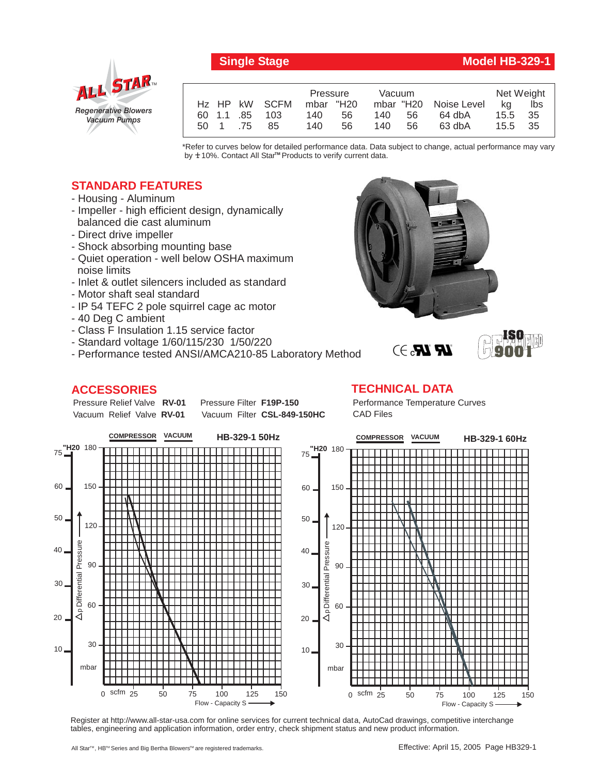

## **Single Stage Model HB-329-1**

**ISO 9001**

|      |            |               | Pressure  |    | Vacuum |     |                       | Net Weight |      |
|------|------------|---------------|-----------|----|--------|-----|-----------------------|------------|------|
|      |            | Hz HP kW SCFM | mbar "H20 |    |        |     | mbar "H20 Noise Level | ka         | lbs  |
|      | 60 1.1 .85 | 103           | 140       | 56 | 140.   | 56. | 64 dbA                | 15.5       | - 35 |
| 50 1 | .75        | 85            | 140       | 56 | 140.   | 56  | 63 dbA                | 15.5       | - 35 |

\*Refer to curves below for detailed performance data. Data subject to change, actual performance may vary by **+** 10%. Contact All Star™ Products to verify current data.

## **STANDARD FEATURES**

- Housing Aluminum
- Impeller high efficient design, dynamically balanced die cast aluminum
- Direct drive impeller
- Shock absorbing mounting base
- Quiet operation well below OSHA maximum noise limits
- Inlet & outlet silencers included as standard
- Motor shaft seal standard
- IP 54 TEFC 2 pole squirrel cage ac motor
- 40 Deg C ambient
- Class F Insulation 1.15 service factor
- Standard voltage 1/60/115/230 1/50/220
- Performance tested ANSI/AMCA210-85 Laboratory Method

## **ACCESSORIES**

Pressure Relief Valve RV-01 Vacuum Relief Valve RV-01

**Pressure Filter F19P-150** Vacuum Filter CSL-849-150HC **TECHNICAL DATA** Performance Temperature Curves CAD Files

 $\mathbf{R} \mathbf{R}$   $\rightarrow$ 



Register at http://www.all-star-usa.com for online services for current technical data, AutoCad drawings, competitive interchange tables, engineering and application information, order entry, check shipment status and new product information.